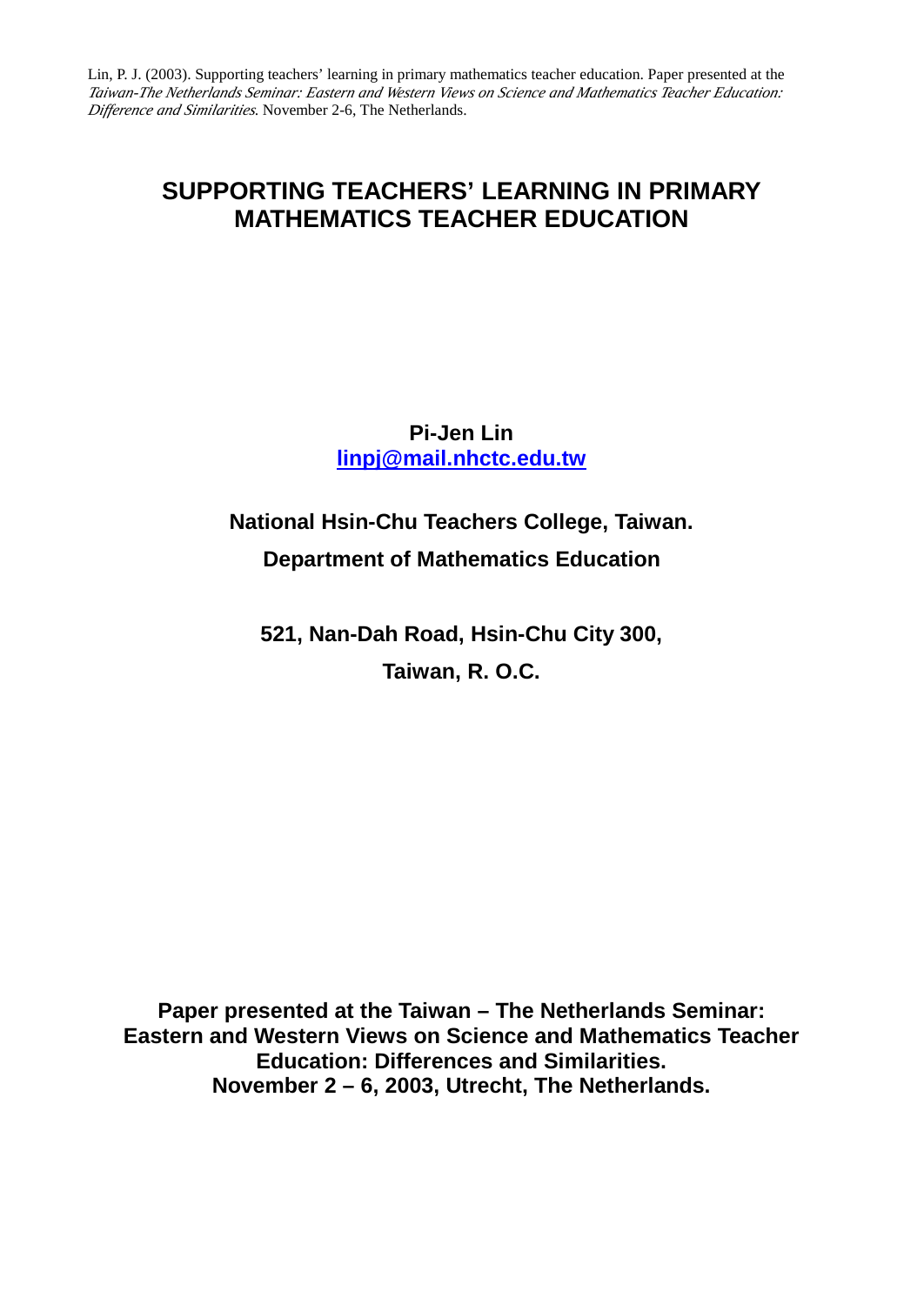# **SUPPORTING TEACHERS' LEARNING IN PRIMARY MATHEMATICS TEACHER EDUCATION**

# **Pi-Jen Lin linpj@mail.nhctc.edu.tw**

# **National Hsin-Chu Teachers College, Taiwan. Department of Mathematics Education**

**521, Nan-Dah Road, Hsin-Chu City 300, Taiwan, R. O.C.**

**Paper presented at the Taiwan – The Netherlands Seminar: Eastern and Western Views on Science and Mathematics Teacher Education: Differences and Similarities. November 2 – 6, 2003, Utrecht, The Netherlands.**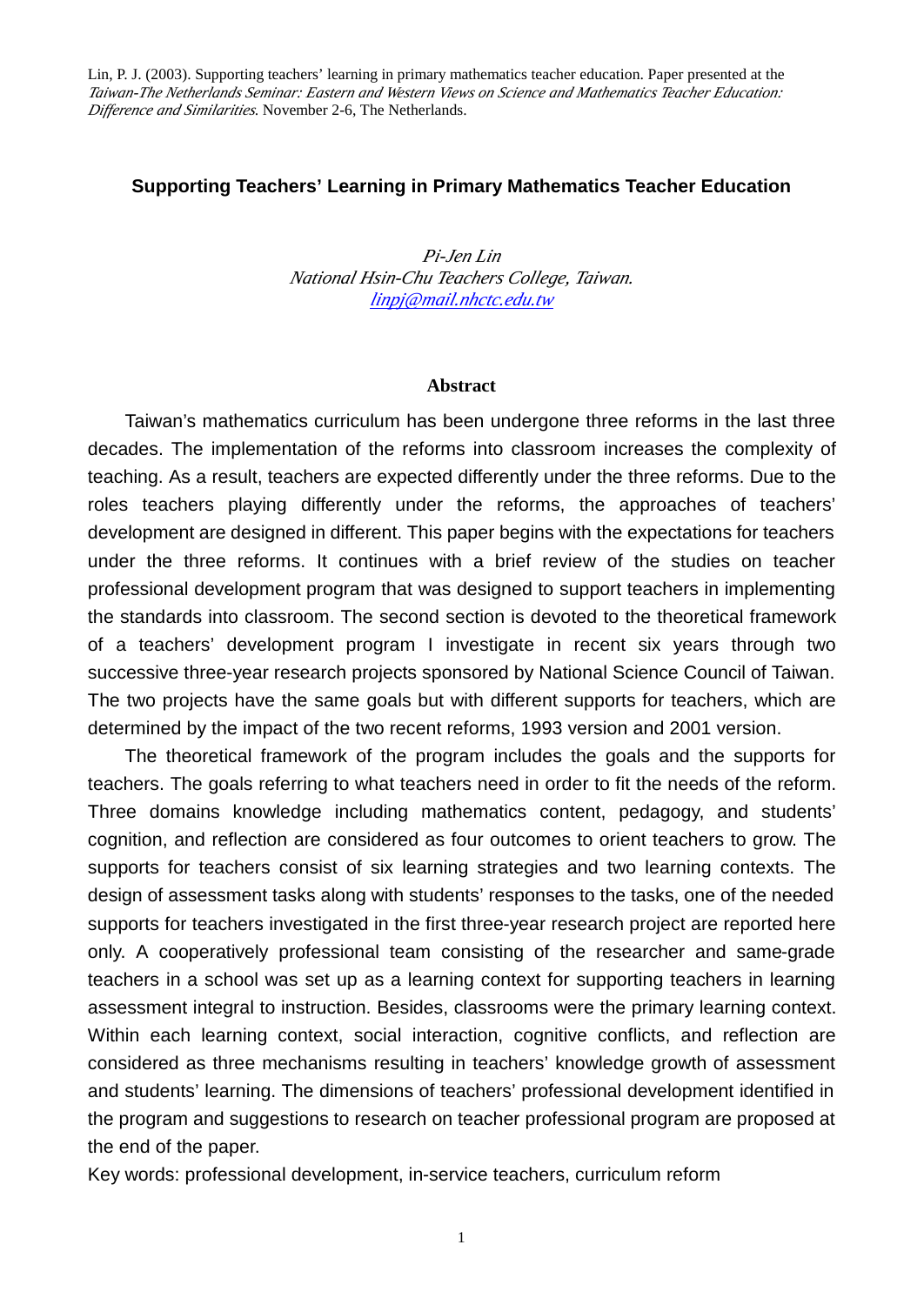# **Supporting Teachers' Learning in Primary Mathematics Teacher Education**

*Pi-Jen Lin National Hsin-Chu Teachers College, Taiwan. linpj@mail.nhctc.edu.tw*

#### **Abstract**

Taiwan's mathematics curriculum has been undergone three reforms in the last three decades. The implementation of the reforms into classroom increases the complexity of teaching. As a result, teachers are expected differently under the three reforms. Due to the roles teachers playing differently under the reforms, the approaches of teachers' development are designed in different. This paper begins with the expectations for teachers under the three reforms. It continues with a brief review of the studies on teacher professional development program that was designed to support teachers in implementing the standards into classroom. The second section is devoted to the theoretical framework of a teachers' development program I investigate in recent six years through two successive three-year research projects sponsored by National Science Council of Taiwan. The two projects have the same goals but with different supports for teachers, which are determined by the impact of the two recent reforms, 1993 version and 2001 version.

The theoretical framework of the program includes the goals and the supports for teachers. The goals referring to what teachers need in order to fit the needs of the reform. Three domains knowledge including mathematics content, pedagogy, and students' cognition, and reflection are considered as four outcomes to orient teachers to grow. The supports for teachers consist of six learning strategies and two learning contexts. The design of assessment tasks along with students' responses to the tasks, one of the needed supports for teachers investigated in the first three-year research project are reported here only. A cooperatively professional team consisting of the researcher and same-grade teachers in a school was set up as a learning context for supporting teachers in learning assessment integral to instruction. Besides, classrooms were the primary learning context. Within each learning context, social interaction, cognitive conflicts, and reflection are considered as three mechanisms resulting in teachers' knowledge growth of assessment and students' learning. The dimensions of teachers' professional development identified in the program and suggestions to research on teacher professional program are proposed at the end of the paper.

Key words: professional development, in-service teachers, curriculum reform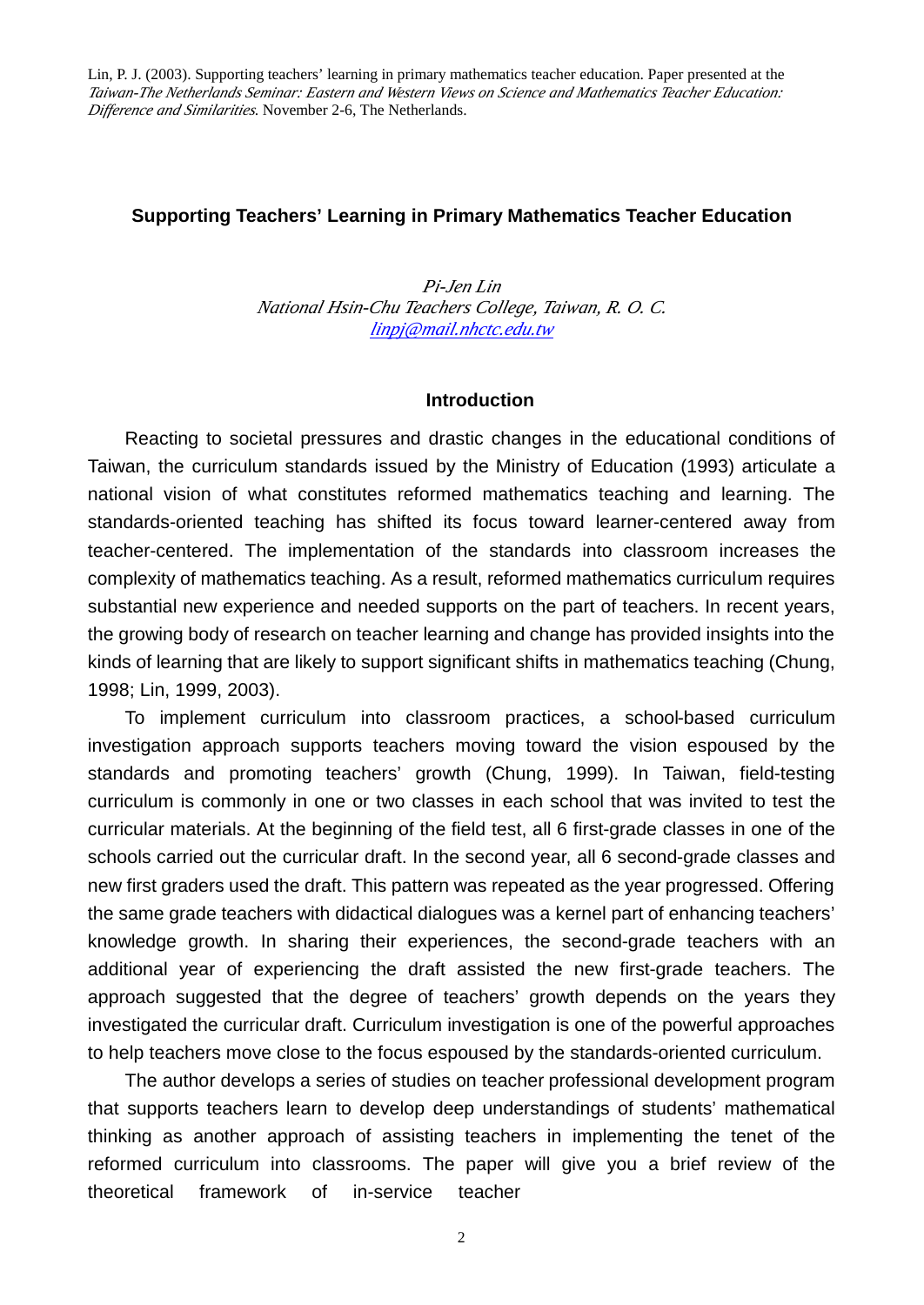# **Supporting Teachers' Learning in Primary Mathematics Teacher Education**

*Pi-Jen Lin National Hsin-Chu Teachers College, Taiwan, R. O. C. linpj@mail.nhctc.edu.tw*

#### **Introduction**

Reacting to societal pressures and drastic changes in the educational conditions of Taiwan, the curriculum standards issued by the Ministry of Education (1993) articulate a national vision of what constitutes reformed mathematics teaching and learning. The standards-oriented teaching has shifted its focus toward learner-centered away from teacher-centered. The implementation of the standards into classroom increases the complexity of mathematics teaching. As a result, reformed mathematics curriculum requires substantial new experience and needed supports on the part of teachers. In recent years, the growing body of research on teacher learning and change has provided insights into the kinds of learning that are likely to support significant shifts in mathematics teaching (Chung, 1998; Lin, 1999, 2003).

To implement curriculum into classroom practices, a school-based curriculum investigation approach supports teachers moving toward the vision espoused by the standards and promoting teachers' growth (Chung, 1999). In Taiwan, field-testing curriculum is commonly in one or two classes in each school that was invited to test the curricular materials. At the beginning of the field test, all 6 first-grade classes in one of the schools carried out the curricular draft. In the second year, all 6 second-grade classes and new first graders used the draft. This pattern was repeated as the year progressed. Offering the same grade teachers with didactical dialogues was a kernel part of enhancing teachers' knowledge growth. In sharing their experiences, the second-grade teachers with an additional year of experiencing the draft assisted the new first-grade teachers. The approach suggested that the degree of teachers' growth depends on the years they investigated the curricular draft. Curriculum investigation is one of the powerful approaches to help teachers move close to the focus espoused by the standards-oriented curriculum.

The author develops a series of studies on teacher professional development program that supports teachers learn to develop deep understandings of students' mathematical thinking as another approach of assisting teachers in implementing the tenet of the reformed curriculum into classrooms. The paper will give you a brief review of the theoretical framework of in-service teacher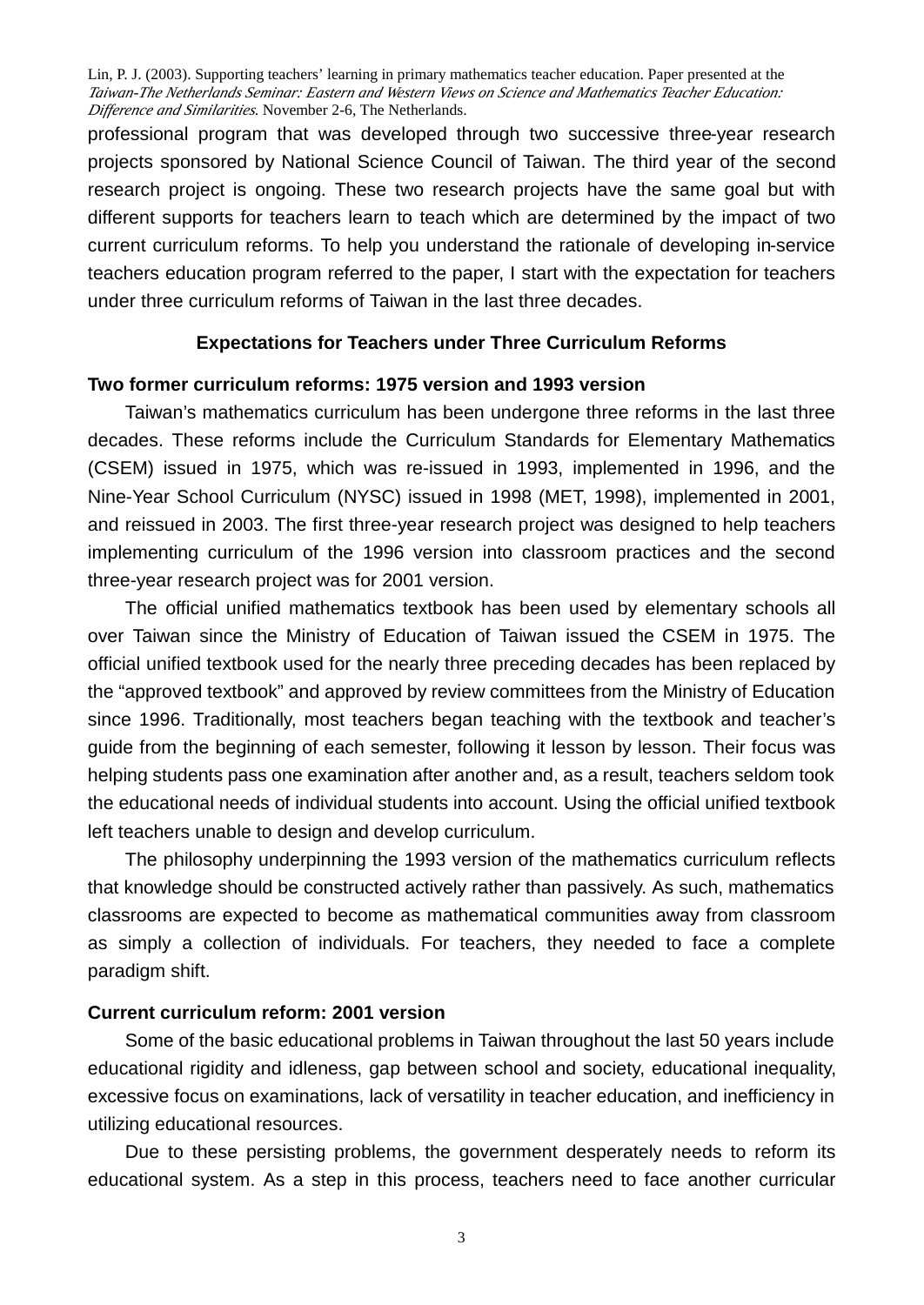professional program that was developed through two successive three-year research projects sponsored by National Science Council of Taiwan. The third year of the second research project is ongoing. These two research projects have the same goal but with different supports for teachers learn to teach which are determined by the impact of two current curriculum reforms. To help you understand the rationale of developing in-service teachers education program referred to the paper, I start with the expectation for teachers under three curriculum reforms of Taiwan in the last three decades.

# **Expectations for Teachers under Three Curriculum Reforms**

#### **Two former curriculum reforms: 1975 version and 1993 version**

Taiwan's mathematics curriculum has been undergone three reforms in the last three decades. These reforms include the Curriculum Standards for Elementary Mathematics (CSEM) issued in 1975, which was re-issued in 1993, implemented in 1996, and the Nine-Year School Curriculum (NYSC) issued in 1998 (MET, 1998), implemented in 2001, and reissued in 2003. The first three-year research project was designed to help teachers implementing curriculum of the 1996 version into classroom practices and the second three-year research project was for 2001 version.

The official unified mathematics textbook has been used by elementary schools all over Taiwan since the Ministry of Education of Taiwan issued the CSEM in 1975. The official unified textbook used for the nearly three preceding decades has been replaced by the "approved textbook" and approved by review committees from the Ministry of Education since 1996. Traditionally, most teachers began teaching with the textbook and teacher's guide from the beginning of each semester, following it lesson by lesson. Their focus was helping students pass one examination after another and, as a result, teachers seldom took the educational needs of individual students into account. Using the official unified textbook left teachers unable to design and develop curriculum.

The philosophy underpinning the 1993 version of the mathematics curriculum reflects that knowledge should be constructed actively rather than passively. As such, mathematics classrooms are expected to become as mathematical communities away from classroom as simply a collection of individuals. For teachers, they needed to face a complete paradigm shift.

# **Current curriculum reform: 2001 version**

Some of the basic educational problems in Taiwan throughout the last 50 years include educational rigidity and idleness, gap between school and society, educational inequality, excessive focus on examinations, lack of versatility in teacher education, and inefficiency in utilizing educational resources.

Due to these persisting problems, the government desperately needs to reform its educational system. As a step in this process, teachers need to face another curricular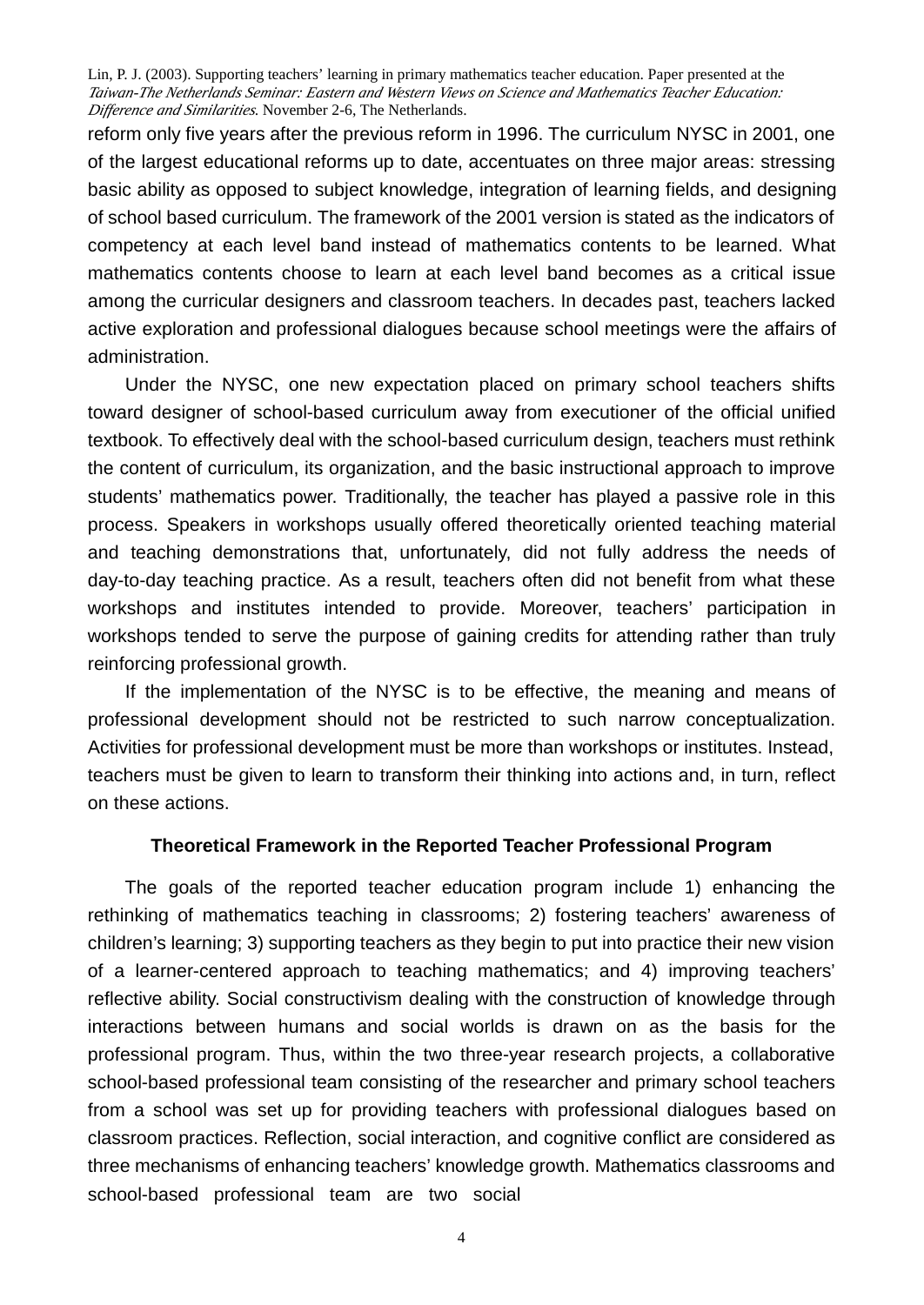reform only five years after the previous reform in 1996. The curriculum NYSC in 2001, one of the largest educational reforms up to date, accentuates on three major areas: stressing basic ability as opposed to subject knowledge, integration of learning fields, and designing of school based curriculum. The framework of the 2001 version is stated as the indicators of competency at each level band instead of mathematics contents to be learned. What mathematics contents choose to learn at each level band becomes as a critical issue among the curricular designers and classroom teachers. In decades past, teachers lacked active exploration and professional dialogues because school meetings were the affairs of administration.

Under the NYSC, one new expectation placed on primary school teachers shifts toward designer of school-based curriculum away from executioner of the official unified textbook. To effectively deal with the school-based curriculum design, teachers must rethink the content of curriculum, its organization, and the basic instructional approach to improve students' mathematics power. Traditionally, the teacher has played a passive role in this process. Speakers in workshops usually offered theoretically oriented teaching material and teaching demonstrations that, unfortunately, did not fully address the needs of day-to-day teaching practice. As a result, teachers often did not benefit from what these workshops and institutes intended to provide. Moreover, teachers' participation in workshops tended to serve the purpose of gaining credits for attending rather than truly reinforcing professional growth.

If the implementation of the NYSC is to be effective, the meaning and means of professional development should not be restricted to such narrow conceptualization. Activities for professional development must be more than workshops or institutes. Instead, teachers must be given to learn to transform their thinking into actions and, in turn, reflect on these actions.

#### **Theoretical Framework in the Reported Teacher Professional Program**

The goals of the reported teacher education program include 1) enhancing the rethinking of mathematics teaching in classrooms; 2) fostering teachers' awareness of children's learning; 3) supporting teachers as they begin to put into practice their new vision of a learner-centered approach to teaching mathematics; and 4) improving teachers' reflective ability. Social constructivism dealing with the construction of knowledge through interactions between humans and social worlds is drawn on as the basis for the professional program. Thus, within the two three-year research projects, a collaborative school-based professional team consisting of the researcher and primary school teachers from a school was set up for providing teachers with professional dialogues based on classroom practices. Reflection, social interaction, and cognitive conflict are considered as three mechanisms of enhancing teachers' knowledge growth. Mathematics classrooms and school-based professional team are two social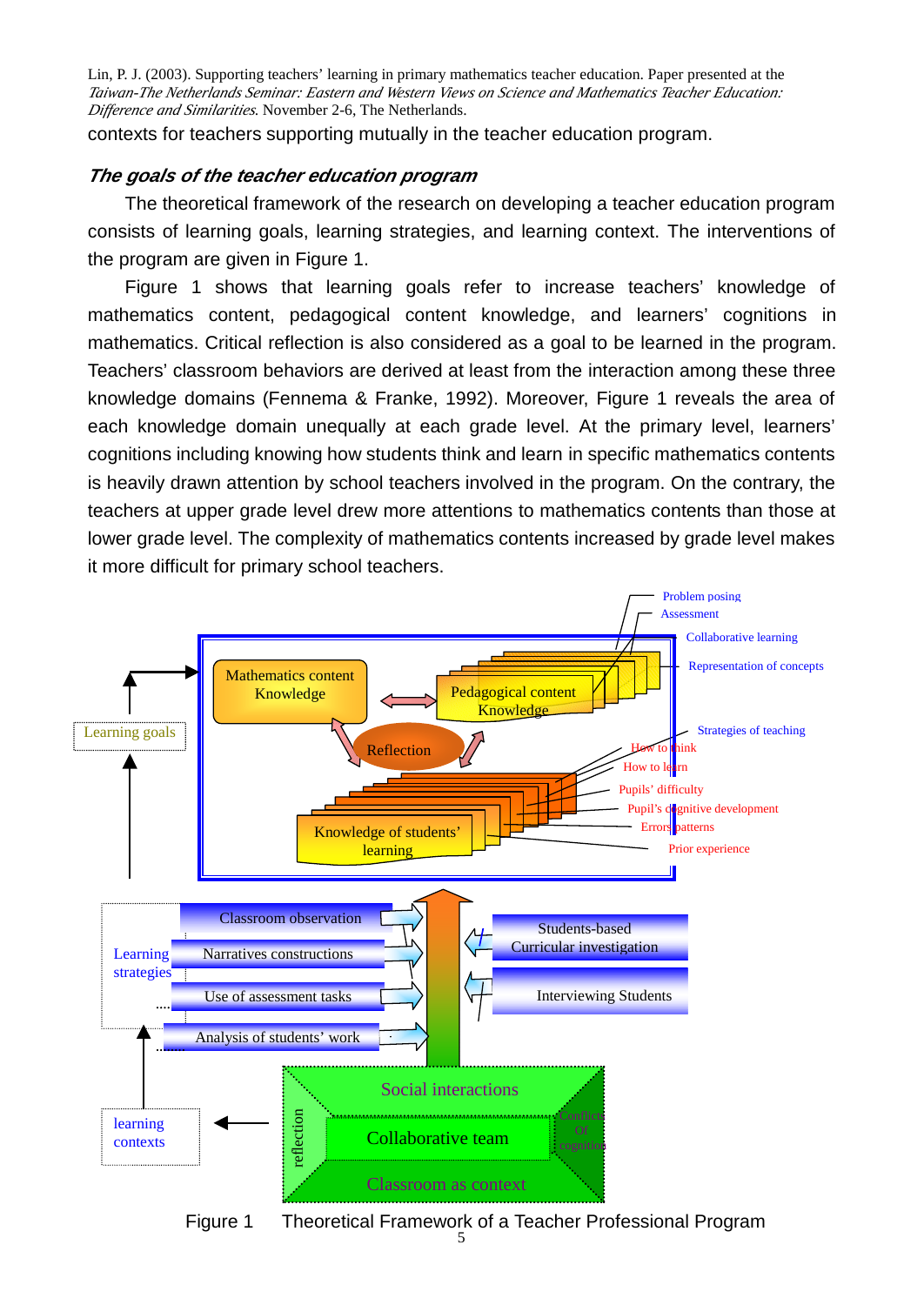contexts for teachers supporting mutually in the teacher education program.

# *The goals of the teacher education program*

The theoretical framework of the research on developing a teacher education program consists of learning goals, learning strategies, and learning context. The interventions of the program are given in Figure 1.

Figure 1 shows that learning goals refer to increase teachers' knowledge of mathematics content, pedagogical content knowledge, and learners' cognitions in mathematics. Critical reflection is also considered as a goal to be learned in the program. Teachers' classroom behaviors are derived at least from the interaction among these three knowledge domains (Fennema & Franke, 1992). Moreover, Figure 1 reveals the area of each knowledge domain unequally at each grade level. At the primary level, learners' cognitions including knowing how students think and learn in specific mathematics contents is heavily drawn attention by school teachers involved in the program. On the contrary, the teachers at upper grade level drew more attentions to mathematics contents than those at lower grade level. The complexity of mathematics contents increased by grade level makes it more difficult for primary school teachers.



Figure 1 Theoretical Framework of a Teacher Professional Program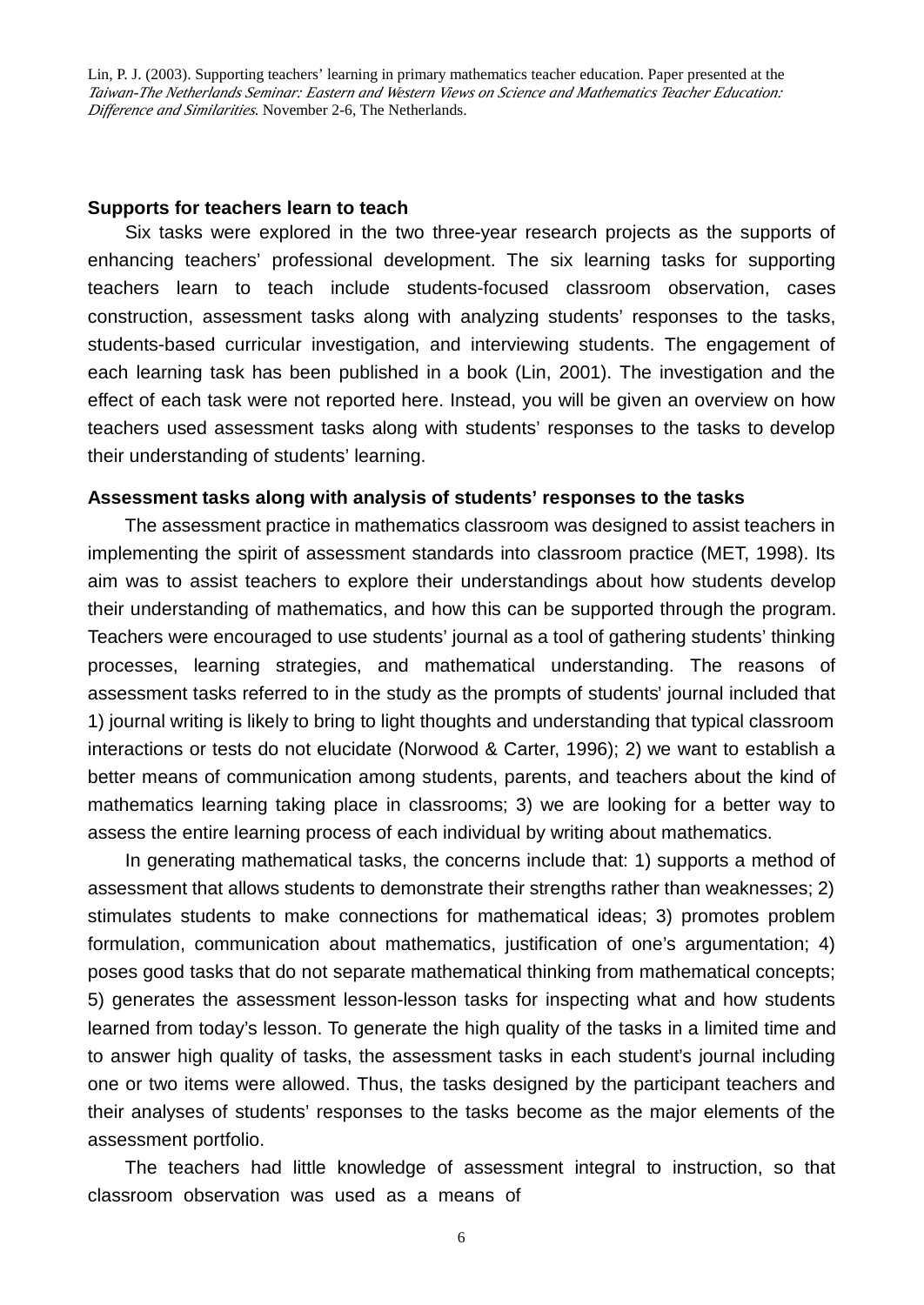#### **Supports for teachers learn to teach**

Six tasks were explored in the two three-year research projects as the supports of enhancing teachers' professional development. The six learning tasks for supporting teachers learn to teach include students-focused classroom observation, cases construction, assessment tasks along with analyzing students' responses to the tasks, students-based curricular investigation, and interviewing students. The engagement of each learning task has been published in a book (Lin, 2001). The investigation and the effect of each task were not reported here. Instead, you will be given an overview on how teachers used assessment tasks along with students' responses to the tasks to develop their understanding of students' learning.

#### **Assessment tasks along with analysis of students' responses to the tasks**

The assessment practice in mathematics classroom was designed to assist teachers in implementing the spirit of assessment standards into classroom practice (MET, 1998). Its aim was to assist teachers to explore their understandings about how students develop their understanding of mathematics, and how this can be supported through the program. Teachers were encouraged to use students' journal as a tool of gathering students' thinking processes, learning strategies, and mathematical understanding. The reasons of assessment tasks referred to in the study as the prompts of students'journal included that 1) journal writing is likely to bring to light thoughts and understanding that typical classroom interactions or tests do not elucidate (Norwood & Carter, 1996); 2) we want to establish a better means of communication among students, parents, and teachers about the kind of mathematics learning taking place in classrooms; 3) we are looking for a better way to assess the entire learning process of each individual by writing about mathematics.

In generating mathematical tasks, the concerns include that: 1) supports a method of assessment that allows students to demonstrate their strengths rather than weaknesses; 2) stimulates students to make connections for mathematical ideas; 3) promotes problem formulation, communication about mathematics, justification of one's argumentation; 4) poses good tasks that do not separate mathematical thinking from mathematical concepts; 5) generates the assessment lesson-lesson tasks for inspecting what and how students learned from today's lesson. To generate the high quality of the tasks in a limited time and to answer high quality of tasks, the assessment tasks in each student's journal including one or two items were allowed. Thus, the tasks designed by the participant teachers and their analyses of students' responses to the tasks become as the major elements of the assessment portfolio.

The teachers had little knowledge of assessment integral to instruction, so that classroom observation was used as a means of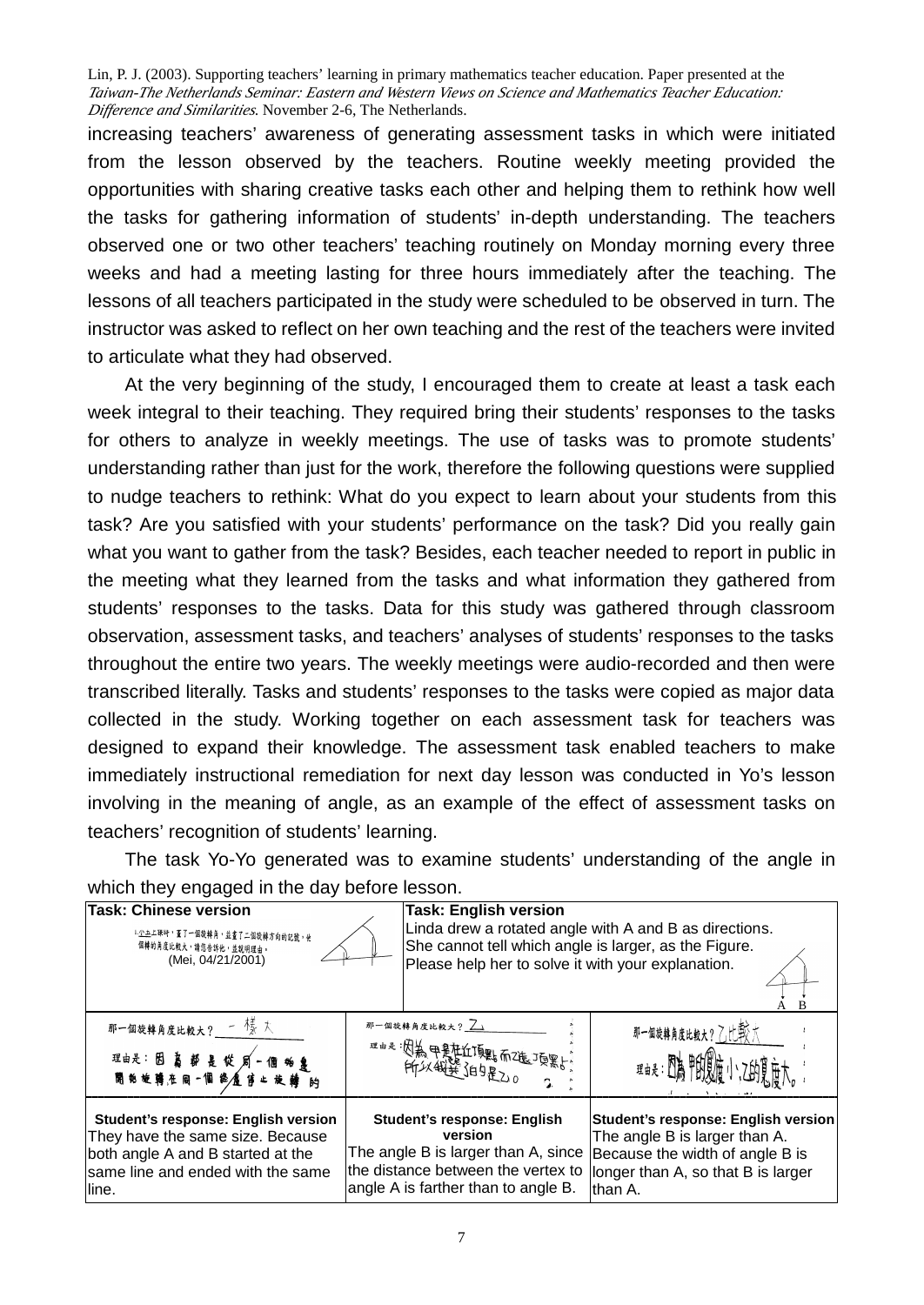increasing teachers' awareness of generating assessment tasks in which were initiated from the lesson observed by the teachers. Routine weekly meeting provided the opportunities with sharing creative tasks each other and helping them to rethink how well the tasks for gathering information of students' in-depth understanding. The teachers observed one or two other teachers' teaching routinely on Monday morning every three weeks and had a meeting lasting for three hours immediately after the teaching. The lessons of all teachers participated in the study were scheduled to be observed in turn. The instructor was asked to reflect on her own teaching and the rest of the teachers were invited to articulate what they had observed.

At the very beginning of the study, I encouraged them to create at least a task each week integral to their teaching. They required bring their students' responses to the tasks for others to analyze in weekly meetings. The use of tasks was to promote students' understanding rather than just for the work, therefore the following questions were supplied to nudge teachers to rethink: What do you expect to learn about your students from this task? Are you satisfied with your students' performance on the task? Did you really gain what you want to gather from the task? Besides, each teacher needed to report in public in the meeting what they learned from the tasks and what information they gathered from students' responses to the tasks. Data for this study was gathered through classroom observation, assessment tasks, and teachers' analyses of students' responses to the tasks throughout the entire two years. The weekly meetings were audio-recorded and then were transcribed literally. Tasks and students' responses to the tasks were copied as major data collected in the study. Working together on each assessment task for teachers was designed to expand their knowledge. The assessment task enabled teachers to make immediately instructional remediation for next day lesson was conducted in Yo's lesson involving in the meaning of angle, as an example of the effect of assessment tasks on teachers' recognition of students' learning.

The task Yo-Yo generated was to examine students' understanding of the angle in which they engaged in the day before lesson.

| <b>Task: Chinese version</b>        |  | <b>Task: English version</b>                           |                                     |
|-------------------------------------|--|--------------------------------------------------------|-------------------------------------|
| 1.少立上课时, 董了一個旋轉角, 並畫了二個旋轉方向的記號, 他   |  | Linda drew a rotated angle with A and B as directions. |                                     |
| 個轉的角度比較大,請您告訴他,並說明理由。               |  | She cannot tell which angle is larger, as the Figure.  |                                     |
| (Mei, 04/21/2001)                   |  | Please help her to solve it with your explanation.     |                                     |
| 那一個旋轉角度比較大? 一樣大                     |  | 那一個旋轉角度比較大? 7                                          | 那一個旋轉角度比較大?乙比較大                     |
|                                     |  |                                                        | 理由是 图高野国庙小                          |
| Student's response: English version |  | <b>Student's response: English</b>                     | Student's response: English version |
| They have the same size. Because    |  | version                                                | The angle B is larger than A.       |
| both angle A and B started at the   |  | The angle B is larger than A, since                    | Because the width of angle B is     |
| same line and ended with the same   |  | the distance between the vertex to                     | longer than A, so that B is larger  |
| line.                               |  | angle A is farther than to angle B.                    | lthan A.                            |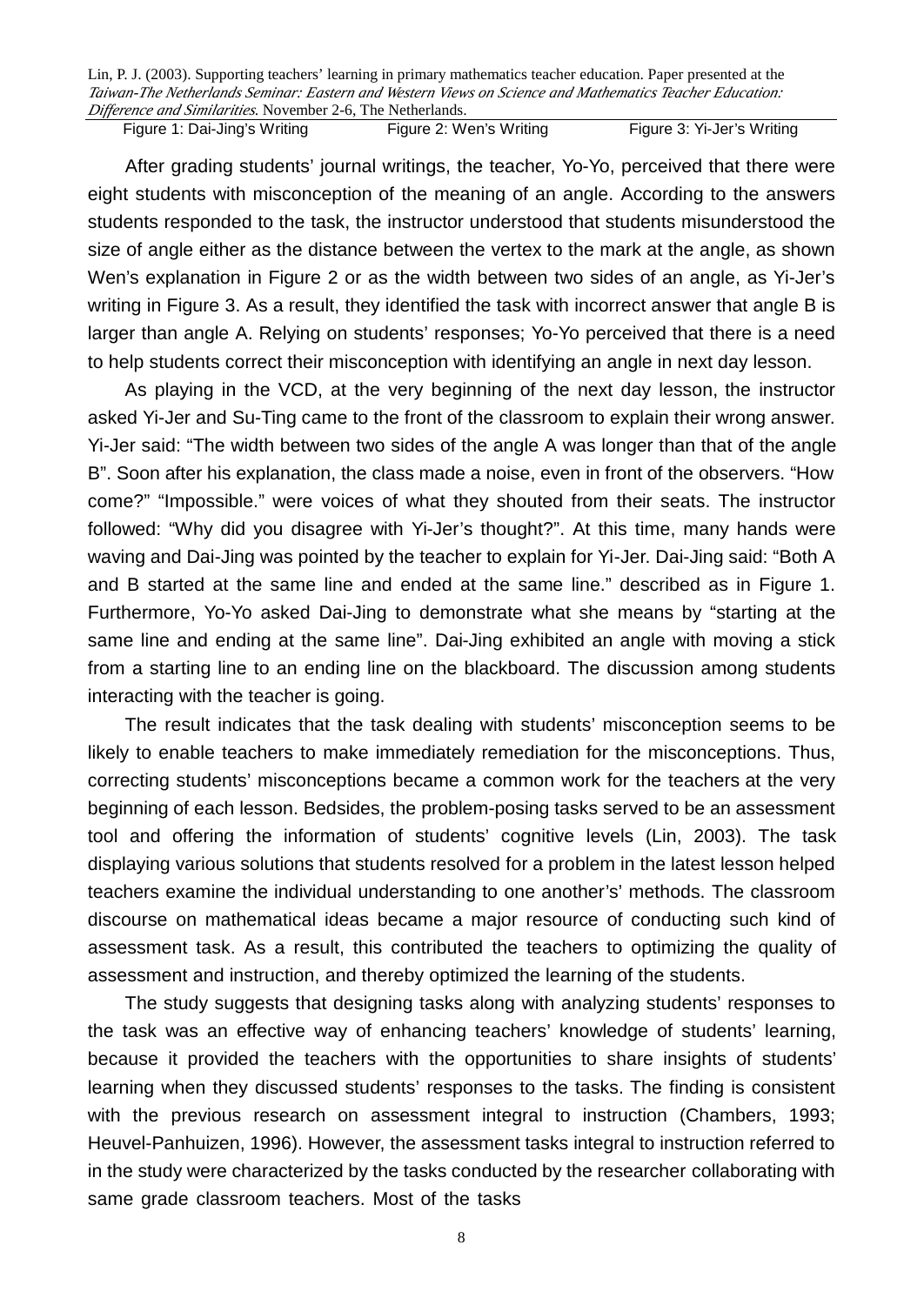Figure 1: Dai-Jing's Writing Figure 2: Wen's Writing Figure 3: Yi-Jer's Writing

After grading students' journal writings, the teacher, Yo-Yo, perceived that there were eight students with misconception of the meaning of an angle. According to the answers students responded to the task, the instructor understood that students misunderstood the size of angle either as the distance between the vertex to the mark at the angle, as shown Wen's explanation in Figure 2 or as the width between two sides of an angle, as Yi-Jer's writing in Figure 3. As a result, they identified the task with incorrect answer that angle B is larger than angle A. Relying on students' responses; Yo-Yo perceived that there is a need to help students correct their misconception with identifying an angle in next day lesson.

As playing in the VCD, at the very beginning of the next day lesson, the instructor asked Yi-Jer and Su-Ting came to the front of the classroom to explain their wrong answer. Yi-Jer said: "The width between two sides of the angle A was longer than that of the angle B". Soon after his explanation, the class made a noise, even in front of the observers. "How come?" "Impossible." were voices of what they shouted from their seats. The instructor followed: "Why did you disagree with Yi-Jer's thought?". At this time, many hands were waving and Dai-Jing was pointed by the teacher to explain for Yi-Jer. Dai-Jing said: "Both A and B started at the same line and ended at the same line." described as in Figure 1. Furthermore, Yo-Yo asked Dai-Jing to demonstrate what she means by "starting at the same line and ending at the same line". Dai-Jing exhibited an angle with moving a stick from a starting line to an ending line on the blackboard. The discussion among students interacting with the teacher is going.

The result indicates that the task dealing with students' misconception seems to be likely to enable teachers to make immediately remediation for the misconceptions. Thus, correcting students' misconceptions became a common work for the teachers at the very beginning of each lesson. Bedsides, the problem-posing tasks served to be an assessment tool and offering the information of students' cognitive levels (Lin, 2003). The task displaying various solutions that students resolved for a problem in the latest lesson helped teachers examine the individual understanding to one another's' methods. The classroom discourse on mathematical ideas became a major resource of conducting such kind of assessment task. As a result, this contributed the teachers to optimizing the quality of assessment and instruction, and thereby optimized the learning of the students.

The study suggests that designing tasks along with analyzing students' responses to the task was an effective way of enhancing teachers' knowledge of students' learning, because it provided the teachers with the opportunities to share insights of students' learning when they discussed students' responses to the tasks. The finding is consistent with the previous research on assessment integral to instruction (Chambers, 1993; Heuvel-Panhuizen, 1996). However, the assessment tasks integral to instruction referred to in the study were characterized by the tasks conducted by the researcher collaborating with same grade classroom teachers. Most of the tasks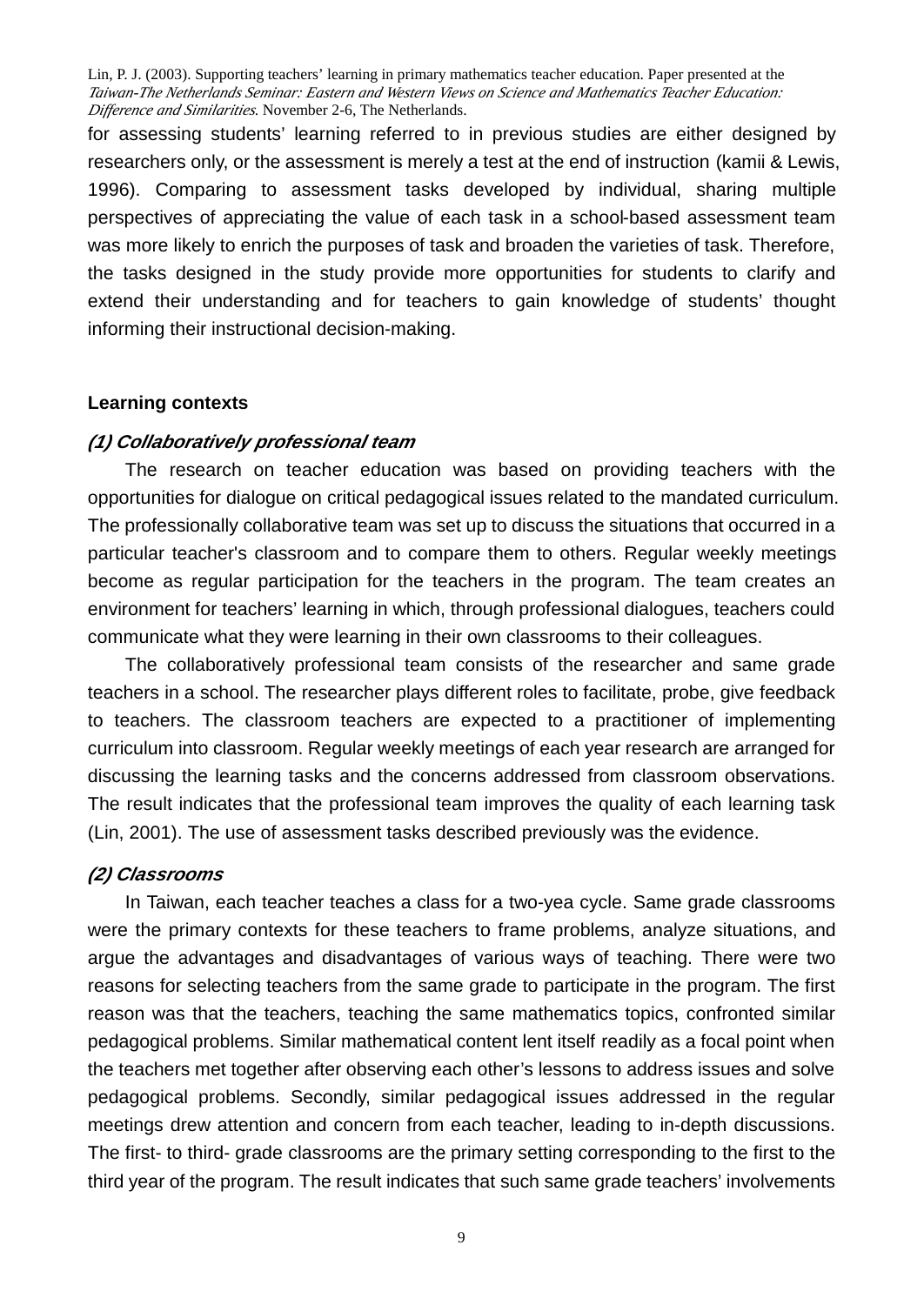for assessing students' learning referred to in previous studies are either designed by researchers only, or the assessment is merely a test at the end of instruction (kamii & Lewis, 1996). Comparing to assessment tasks developed by individual, sharing multiple perspectives of appreciating the value of each task in a school-based assessment team was more likely to enrich the purposes of task and broaden the varieties of task. Therefore, the tasks designed in the study provide more opportunities for students to clarify and extend their understanding and for teachers to gain knowledge of students' thought informing their instructional decision-making.

# **Learning contexts**

# *(1) Collaboratively professional team*

The research on teacher education was based on providing teachers with the opportunities for dialogue on critical pedagogical issues related to the mandated curriculum. The professionally collaborative team was set up to discuss the situations that occurred in a particular teacher's classroom and to compare them to others. Regular weekly meetings become as regular participation for the teachers in the program. The team creates an environment for teachers' learning in which, through professional dialogues, teachers could communicate what they were learning in their own classrooms to their colleagues.

The collaboratively professional team consists of the researcher and same grade teachers in a school. The researcher plays different roles to facilitate, probe, give feedback to teachers. The classroom teachers are expected to a practitioner of implementing curriculum into classroom. Regular weekly meetings of each year research are arranged for discussing the learning tasks and the concerns addressed from classroom observations. The result indicates that the professional team improves the quality of each learning task (Lin, 2001). The use of assessment tasks described previously was the evidence.

# *(2) Classrooms*

In Taiwan, each teacher teaches a class for a two-yea cycle. Same grade classrooms were the primary contexts for these teachers to frame problems, analyze situations, and argue the advantages and disadvantages of various ways of teaching. There were two reasons for selecting teachers from the same grade to participate in the program. The first reason was that the teachers, teaching the same mathematics topics, confronted similar pedagogical problems. Similar mathematical content lent itself readily as a focal point when the teachers met together after observing each other's lessons to address issues and solve pedagogical problems. Secondly, similar pedagogical issues addressed in the regular meetings drew attention and concern from each teacher, leading to in-depth discussions. The first- to third- grade classrooms are the primary setting corresponding to the first to the third year of the program. The result indicates that such same grade teachers' involvements

<sup>9</sup>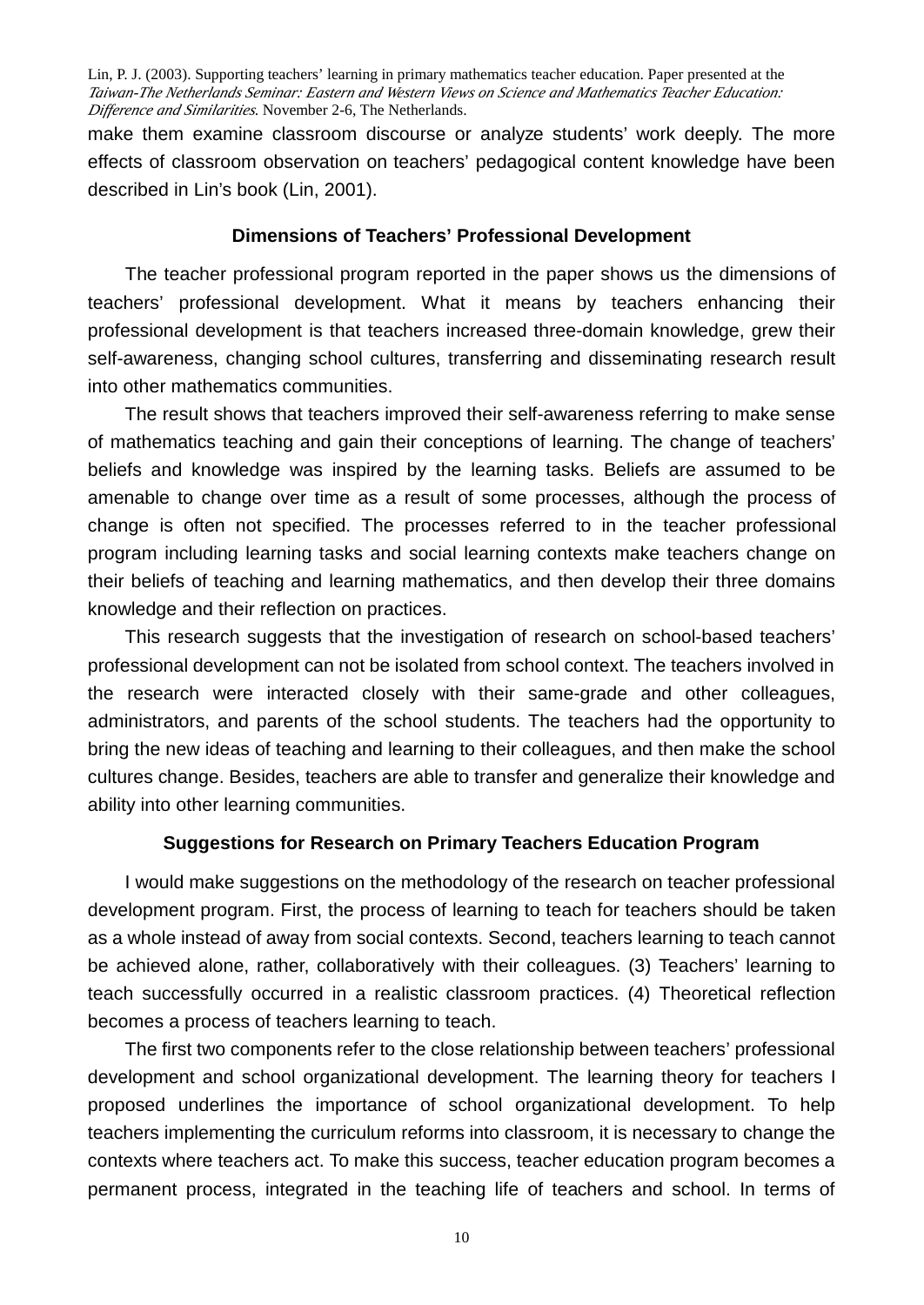make them examine classroom discourse or analyze students' work deeply. The more effects of classroom observation on teachers' pedagogical content knowledge have been described in Lin's book (Lin, 2001).

# **Dimensions of Teachers' Professional Development**

The teacher professional program reported in the paper shows us the dimensions of teachers' professional development. What it means by teachers enhancing their professional development is that teachers increased three-domain knowledge, grew their self-awareness, changing school cultures, transferring and disseminating research result into other mathematics communities.

 The result shows that teachers improved their self-awareness referring to make sense of mathematics teaching and gain their conceptions of learning. The change of teachers' beliefs and knowledge was inspired by the learning tasks. Beliefs are assumed to be amenable to change over time as a result of some processes, although the process of change is often not specified. The processes referred to in the teacher professional program including learning tasks and social learning contexts make teachers change on their beliefs of teaching and learning mathematics, and then develop their three domains knowledge and their reflection on practices.

This research suggests that the investigation of research on school-based teachers' professional development can not be isolated from school context. The teachers involved in the research were interacted closely with their same-grade and other colleagues, administrators, and parents of the school students. The teachers had the opportunity to bring the new ideas of teaching and learning to their colleagues, and then make the school cultures change. Besides, teachers are able to transfer and generalize their knowledge and ability into other learning communities.

# **Suggestions for Research on Primary Teachers Education Program**

I would make suggestions on the methodology of the research on teacher professional development program. First, the process of learning to teach for teachers should be taken as a whole instead of away from social contexts. Second, teachers learning to teach cannot be achieved alone, rather, collaboratively with their colleagues. (3) Teachers' learning to teach successfully occurred in a realistic classroom practices. (4) Theoretical reflection becomes a process of teachers learning to teach.

The first two components refer to the close relationship between teachers' professional development and school organizational development. The learning theory for teachers I proposed underlines the importance of school organizational development. To help teachers implementing the curriculum reforms into classroom, it is necessary to change the contexts where teachers act. To make this success, teacher education program becomes a permanent process, integrated in the teaching life of teachers and school. In terms of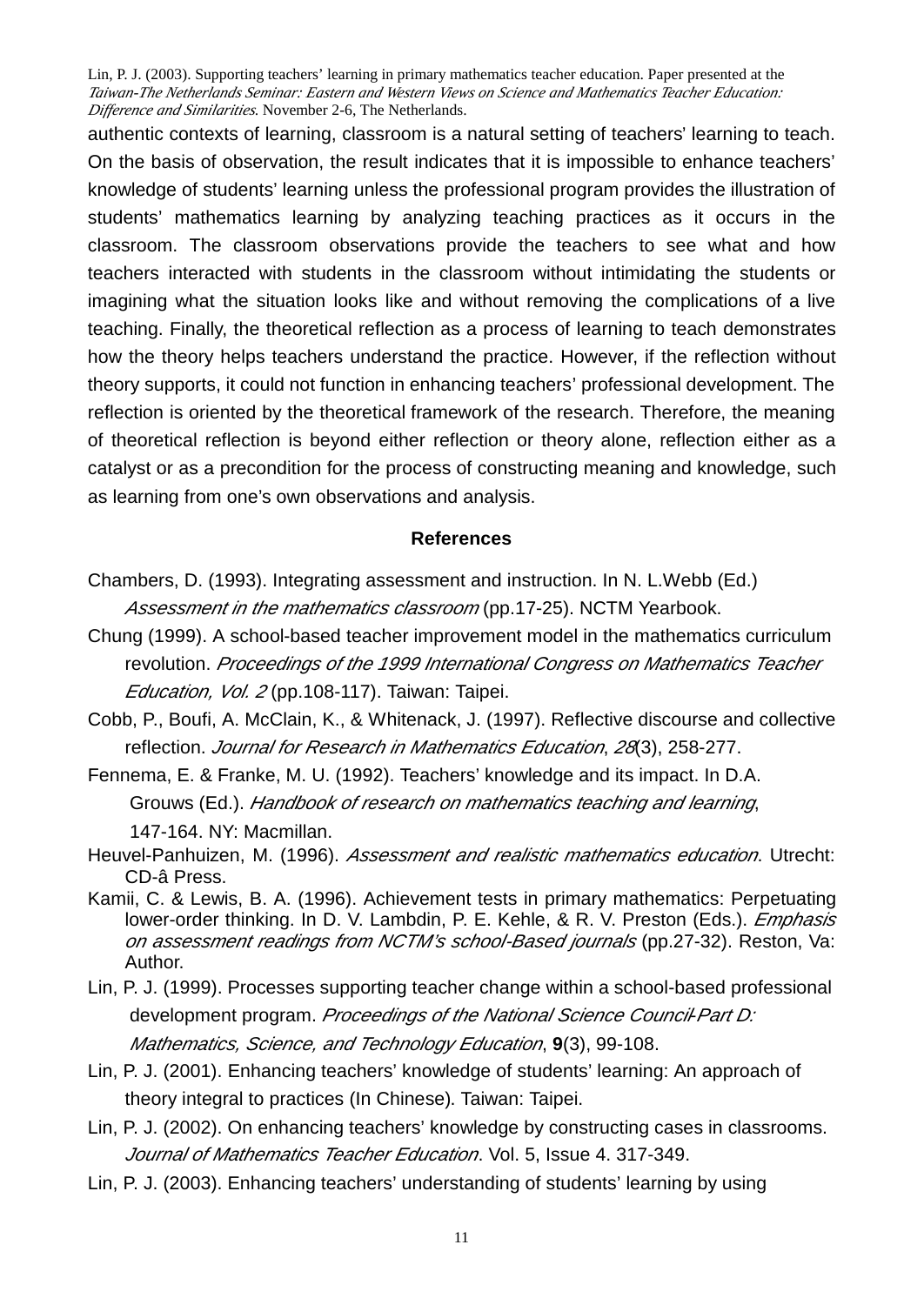authentic contexts of learning, classroom is a natural setting of teachers' learning to teach. On the basis of observation, the result indicates that it is impossible to enhance teachers' knowledge of students' learning unless the professional program provides the illustration of students' mathematics learning by analyzing teaching practices as it occurs in the classroom. The classroom observations provide the teachers to see what and how teachers interacted with students in the classroom without intimidating the students or imagining what the situation looks like and without removing the complications of a live teaching. Finally, the theoretical reflection as a process of learning to teach demonstrates how the theory helps teachers understand the practice. However, if the reflection without theory supports, it could not function in enhancing teachers' professional development. The reflection is oriented by the theoretical framework of the research. Therefore, the meaning of theoretical reflection is beyond either reflection or theory alone, reflection either as a catalyst or as a precondition for the process of constructing meaning and knowledge, such as learning from one's own observations and analysis.

# **References**

- Chambers, D. (1993). Integrating assessment and instruction. In N. L.Webb (Ed.) *Assessment in the mathematics classroom* (pp.17-25). NCTM Yearbook.
- Chung (1999). A school-based teacher improvement model in the mathematics curriculum revolution. *Proceedings of the 1999 International Congress on Mathematics Teacher Education, Vol. 2* (pp.108-117). Taiwan: Taipei.
- Cobb, P., Boufi, A. McClain, K., & Whitenack, J. (1997). Reflective discourse and collective reflection. *Journal for Research in Mathematics Education*, *28*(3), 258-277.
- Fennema, E. & Franke, M. U. (1992). Teachers' knowledge and its impact. In D.A. Grouws (Ed.). *Handbook of research on mathematics teaching and learning*, 147-164. NY: Macmillan.
- Heuvel-Panhuizen, M. (1996). *Assessment and realistic mathematics education*. Utrecht: CD-â Press.
- Kamii, C. & Lewis, B. A. (1996). Achievement tests in primary mathematics: Perpetuating lower-order thinking. In D. V. Lambdin, P. E. Kehle, & R. V. Preston (Eds.). *Emphasis on assessment readings from NCTM's school-Based journals* (pp.27-32). Reston, Va: Author.
- Lin, P. J. (1999). Processes supporting teacher change within a school-based professional development program. *Proceedings of the National Science Council*-*Part D: Mathematics, Science, and Technology Education*, **9**(3), 99-108.
- Lin, P. J. (2001). Enhancing teachers' knowledge of students' learning: An approach of theory integral to practices (In Chinese). Taiwan: Taipei.
- Lin, P. J. (2002). On enhancing teachers' knowledge by constructing cases in classrooms. *Journal of Mathematics Teacher Education*. Vol. 5, Issue 4. 317-349.
- Lin, P. J. (2003). Enhancing teachers' understanding of students' learning by using